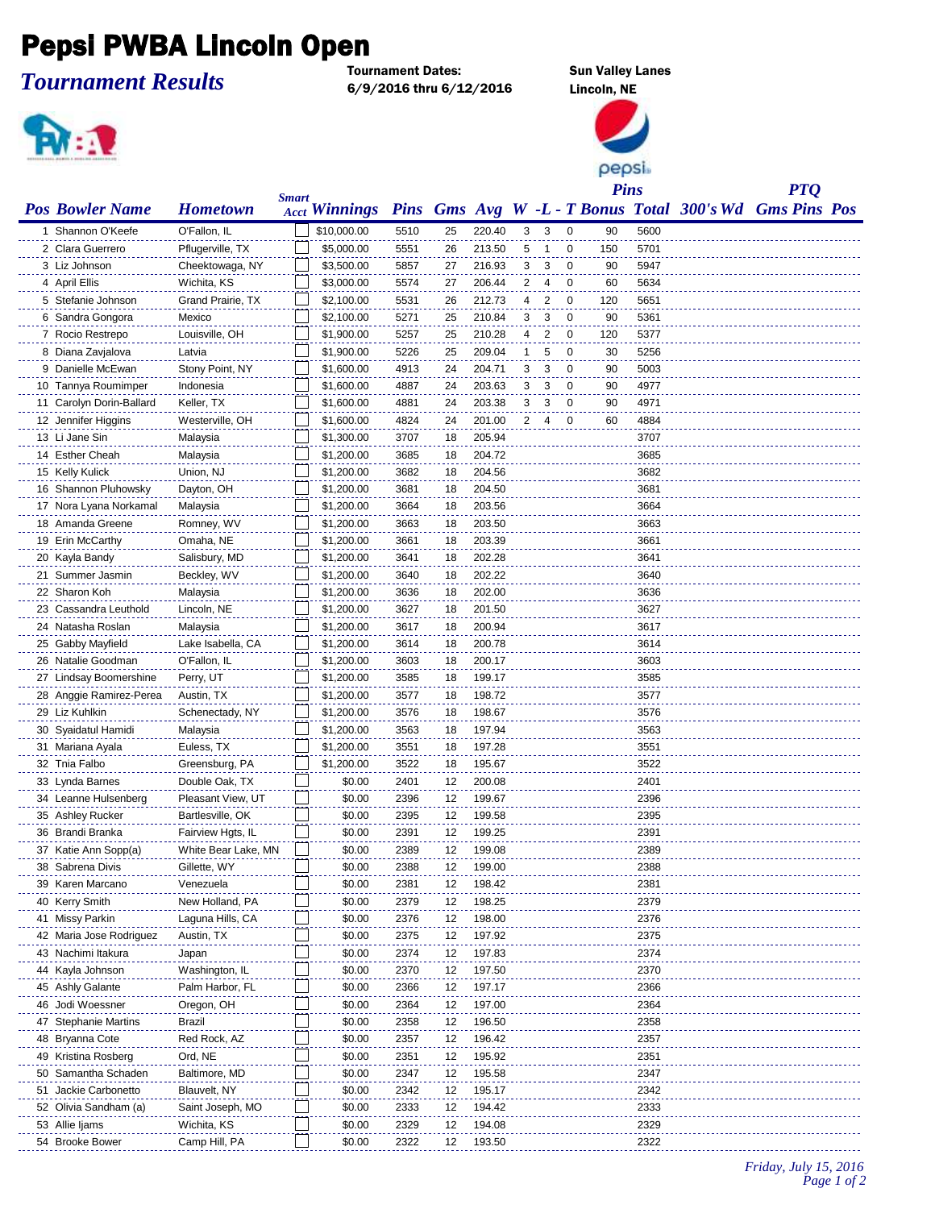## Pepsi PWBA Lincoln Open

*Tournament Results*

Tournament Dates: Sun Valley Lanes 6/9/2016 thru 6/12/2016 Lincoln, NE



pepsi

|                          |                     |              |                                                                       |      |    |        |                |                |                         | <b>Pins</b> |      | <b>PTQ</b> |  |
|--------------------------|---------------------|--------------|-----------------------------------------------------------------------|------|----|--------|----------------|----------------|-------------------------|-------------|------|------------|--|
| <b>Pos Bowler Name</b>   | <b>Hometown</b>     | <b>Smart</b> | Acct Winnings Pins Gms Avg W -L - T Bonus Total 300's Wd Gms Pins Pos |      |    |        |                |                |                         |             |      |            |  |
| 1 Shannon O'Keefe        | O'Fallon, IL        |              | \$10,000.00                                                           | 5510 | 25 | 220.40 | 3              | 3              | 0                       | 90          | 5600 |            |  |
| 2 Clara Guerrero         | Pflugerville, TX    |              | \$5,000.00                                                            | 5551 | 26 | 213.50 | 5              | $\mathbf 1$    | 0                       | 150         | 5701 |            |  |
| 3 Liz Johnson            | Cheektowaga, NY     |              | \$3,500.00                                                            | 5857 | 27 | 216.93 | 3              | 3              | 0                       | 90          | 5947 |            |  |
| 4 April Ellis            | Wichita, KS         |              | \$3,000.00                                                            | 5574 | 27 | 206.44 | 2              | 4              | 0                       | 60          | 5634 |            |  |
| 5 Stefanie Johnson       | Grand Prairie, TX   |              | \$2,100.00                                                            | 5531 | 26 | 212.73 | 4              | $\overline{c}$ | 0                       | 120         | 5651 |            |  |
| 6 Sandra Gongora         | Mexico              |              | \$2,100.00                                                            | 5271 | 25 | 210.84 | 3              | 3              | 0                       | 90          | 5361 |            |  |
| 7 Rocio Restrepo         | Louisville, OH      |              | \$1,900.00                                                            | 5257 | 25 | 210.28 | 4              | $\overline{2}$ | 0                       | 120         | 5377 |            |  |
| 8 Diana Zavjalova        | Latvia              |              | \$1,900.00                                                            | 5226 | 25 | 209.04 | 1              | 5              | 0                       | 30          | 5256 |            |  |
| 9 Danielle McEwan        | Stony Point, NY     |              | \$1,600.00                                                            | 4913 | 24 | 204.71 | 3              | 3              | $\mathbf 0$             | 90          | 5003 |            |  |
| 10 Tannya Roumimper      | Indonesia           |              | \$1,600.00                                                            | 4887 | 24 | 203.63 | 3              | 3              | $\mathbf 0$             | 90          | 4977 |            |  |
| 11 Carolyn Dorin-Ballard | Keller, TX          |              | \$1,600.00                                                            | 4881 | 24 | 203.38 | 3              | 3              | 0                       | 90          | 4971 |            |  |
| 12 Jennifer Higgins      | Westerville, OH     |              | \$1,600.00                                                            | 4824 | 24 | 201.00 | $\overline{2}$ | $\overline{4}$ | $\overline{\mathbf{0}}$ | 60          | 4884 |            |  |
| 13 Li Jane Sin           | Malaysia            |              | \$1,300.00                                                            | 3707 | 18 | 205.94 |                |                |                         |             | 3707 |            |  |
| 14 Esther Cheah          | Malaysia            |              | \$1,200.00                                                            | 3685 | 18 | 204.72 |                |                |                         |             | 3685 |            |  |
| 15 Kelly Kulick          | Union, NJ           |              | \$1,200.00                                                            | 3682 | 18 | 204.56 |                |                |                         |             | 3682 |            |  |
| 16 Shannon Pluhowsky     | Dayton, OH          |              | \$1,200.00                                                            | 3681 | 18 | 204.50 |                |                |                         |             | 3681 |            |  |
| 17 Nora Lyana Norkamal   | Malaysia            |              | \$1,200.00                                                            | 3664 | 18 | 203.56 |                |                |                         |             | 3664 |            |  |
| 18 Amanda Greene         | Romney, WV          |              | \$1,200.00                                                            | 3663 | 18 | 203.50 |                |                |                         |             | 3663 |            |  |
| 19 Erin McCarthy         | Omaha, NE           |              | \$1,200.00                                                            | 3661 | 18 | 203.39 |                |                |                         |             | 3661 |            |  |
| 20 Kayla Bandy           | Salisbury, MD       |              | \$1,200.00                                                            | 3641 | 18 | 202.28 |                |                |                         |             | 3641 |            |  |
| 21 Summer Jasmin         | Beckley, WV         |              | \$1,200.00                                                            | 3640 | 18 | 202.22 |                |                |                         |             | 3640 |            |  |
| 22 Sharon Koh            | Malaysia            |              | \$1,200.00                                                            | 3636 | 18 | 202.00 |                |                |                         |             | 3636 |            |  |
| 23 Cassandra Leuthold    | Lincoln, NE         |              | \$1,200.00                                                            | 3627 | 18 | 201.50 |                |                |                         |             | 3627 |            |  |
| 24 Natasha Roslan        | Malaysia            |              | \$1,200.00                                                            | 3617 | 18 | 200.94 |                |                |                         |             | 3617 |            |  |
| 25 Gabby Mayfield        | Lake Isabella, CA   |              | \$1,200.00                                                            | 3614 | 18 | 200.78 |                |                |                         |             | 3614 |            |  |
| 26 Natalie Goodman       | O'Fallon, IL        |              | \$1,200.00                                                            | 3603 | 18 | 200.17 |                |                |                         |             | 3603 |            |  |
| 27 Lindsay Boomershine   | Perry, UT           |              | \$1,200.00                                                            | 3585 | 18 | 199.17 |                |                |                         |             | 3585 |            |  |
| 28 Anggie Ramirez-Perea  | Austin, TX          |              | \$1,200.00                                                            | 3577 | 18 | 198.72 |                |                |                         |             | 3577 |            |  |
| 29 Liz Kuhlkin           | Schenectady, NY     |              | \$1,200.00                                                            | 3576 | 18 | 198.67 |                |                |                         |             | 3576 |            |  |
| 30 Syaidatul Hamidi      | Malaysia            |              | \$1,200.00                                                            | 3563 | 18 | 197.94 |                |                |                         |             | 3563 |            |  |
| 31 Mariana Ayala         | Euless, TX          |              | \$1,200.00                                                            | 3551 | 18 | 197.28 |                |                |                         |             | 3551 |            |  |
| 32 Tnia Falbo            | Greensburg, PA      |              | \$1,200.00                                                            | 3522 | 18 | 195.67 |                |                |                         |             | 3522 |            |  |
| 33 Lynda Barnes          | Double Oak, TX      |              | \$0.00                                                                | 2401 | 12 | 200.08 |                |                |                         |             | 2401 |            |  |
| 34 Leanne Hulsenberg     | Pleasant View, UT   |              | \$0.00                                                                | 2396 | 12 | 199.67 |                |                |                         |             | 2396 |            |  |
| 35 Ashley Rucker         | Bartlesville, OK    |              | \$0.00                                                                | 2395 | 12 | 199.58 |                |                |                         |             | 2395 |            |  |
| 36 Brandi Branka         | Fairview Hgts, IL   |              | \$0.00                                                                | 2391 | 12 | 199.25 |                |                |                         |             | 2391 |            |  |
| 37 Katie Ann Sopp(a)     | White Bear Lake, MN |              | \$0.00                                                                | 2389 | 12 | 199.08 |                |                |                         |             | 2389 |            |  |
| 38 Sabrena Divis         | Gillette, WY        |              | \$0.00                                                                | 2388 | 12 | 199.00 |                |                |                         |             | 2388 |            |  |
| 39 Karen Marcano         | Venezuela           |              | \$0.00                                                                | 2381 | 12 | 198.42 |                |                |                         |             | 2381 |            |  |
| 40 Kerry Smith           | New Holland, PA     |              | \$0.00                                                                | 2379 | 12 | 198.25 |                |                |                         |             | 2379 |            |  |
| 41 Missy Parkin          | Laguna Hills, CA    |              | \$0.00                                                                | 2376 | 12 | 198.00 |                |                |                         |             | 2376 |            |  |
| 42 Maria Jose Rodriguez  | Austin, TX          |              | \$0.00                                                                | 2375 | 12 | 197.92 |                |                |                         |             | 2375 |            |  |
| 43 Nachimi Itakura       | Japan               |              | \$0.00                                                                | 2374 | 12 | 197.83 |                |                |                         |             | 2374 |            |  |
| 44 Kayla Johnson         | Washington, IL      |              | \$0.00                                                                | 2370 | 12 | 197.50 |                |                |                         |             | 2370 |            |  |
| 45 Ashly Galante         | Palm Harbor, FL     |              | \$0.00                                                                | 2366 | 12 | 197.17 |                |                |                         |             | 2366 |            |  |
| 46 Jodi Woessner         | Oregon, OH          |              | \$0.00                                                                | 2364 | 12 | 197.00 |                |                |                         |             | 2364 |            |  |
| 47 Stephanie Martins     | Brazil              |              | \$0.00                                                                | 2358 | 12 | 196.50 |                |                |                         |             | 2358 |            |  |
| 48 Bryanna Cote          | Red Rock, AZ        |              | \$0.00                                                                | 2357 | 12 | 196.42 |                |                |                         |             | 2357 |            |  |
| 49 Kristina Rosberg      | Ord, NE             |              | \$0.00                                                                | 2351 | 12 | 195.92 |                |                |                         |             | 2351 |            |  |
| 50 Samantha Schaden      | Baltimore, MD       |              | \$0.00                                                                | 2347 | 12 | 195.58 |                |                |                         |             | 2347 |            |  |
| 51 Jackie Carbonetto     | Blauvelt, NY        |              | \$0.00                                                                | 2342 | 12 | 195.17 |                |                |                         |             | 2342 |            |  |
| 52 Olivia Sandham (a)    | Saint Joseph, MO    |              | \$0.00                                                                | 2333 | 12 | 194.42 |                |                |                         |             | 2333 |            |  |
| 53 Allie Ijams           | Wichita, KS         |              | \$0.00                                                                | 2329 | 12 | 194.08 |                |                |                         |             | 2329 |            |  |
| 54 Brooke Bower          | Camp Hill, PA       |              | \$0.00                                                                | 2322 | 12 | 193.50 |                |                |                         |             | 2322 |            |  |